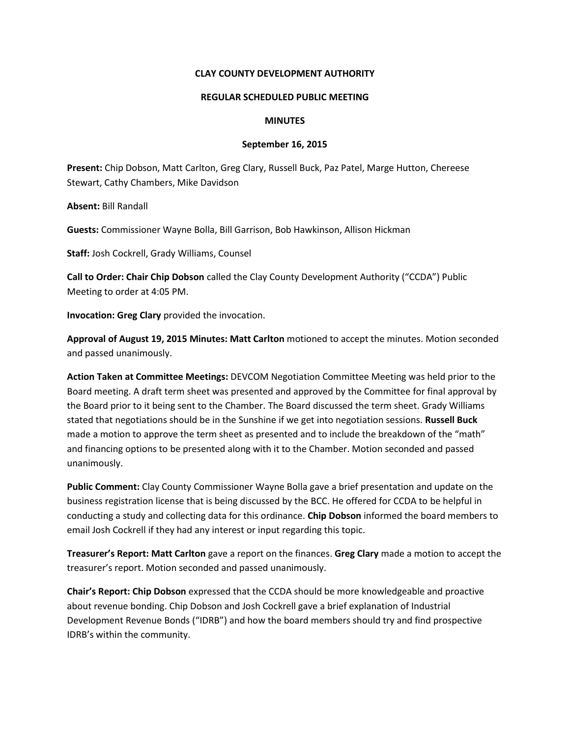## **CLAY COUNTY DEVELOPMENT AUTHORITY**

### **REGULAR SCHEDULED PUBLIC MEETING**

#### **MINUTES**

#### **September 16, 2015**

**Present:** Chip Dobson, Matt Carlton, Greg Clary, Russell Buck, Paz Patel, Marge Hutton, Chereese Stewart, Cathy Chambers, Mike Davidson

**Absent:** Bill Randall

**Guests:** Commissioner Wayne Bolla, Bill Garrison, Bob Hawkinson, Allison Hickman

**Staff:** Josh Cockrell, Grady Williams, Counsel

**Call to Order: Chair Chip Dobson** called the Clay County Development Authority ("CCDA") Public Meeting to order at 4:05 PM.

**Invocation: Greg Clary** provided the invocation.

**Approval of August 19, 2015 Minutes: Matt Carlton** motioned to accept the minutes. Motion seconded and passed unanimously.

**Action Taken at Committee Meetings:** DEVCOM Negotiation Committee Meeting was held prior to the Board meeting. A draft term sheet was presented and approved by the Committee for final approval by the Board prior to it being sent to the Chamber. The Board discussed the term sheet. Grady Williams stated that negotiations should be in the Sunshine if we get into negotiation sessions. **Russell Buck** made a motion to approve the term sheet as presented and to include the breakdown of the "math" and financing options to be presented along with it to the Chamber. Motion seconded and passed unanimously.

**Public Comment:** Clay County Commissioner Wayne Bolla gave a brief presentation and update on the business registration license that is being discussed by the BCC. He offered for CCDA to be helpful in conducting a study and collecting data for this ordinance. **Chip Dobson** informed the board members to email Josh Cockrell if they had any interest or input regarding this topic.

**Treasurer's Report: Matt Carlton** gave a report on the finances. **Greg Clary** made a motion to accept the treasurer's report. Motion seconded and passed unanimously.

**Chair's Report: Chip Dobson** expressed that the CCDA should be more knowledgeable and proactive about revenue bonding. Chip Dobson and Josh Cockrell gave a brief explanation of Industrial Development Revenue Bonds ("IDRB") and how the board members should try and find prospective IDRB's within the community.